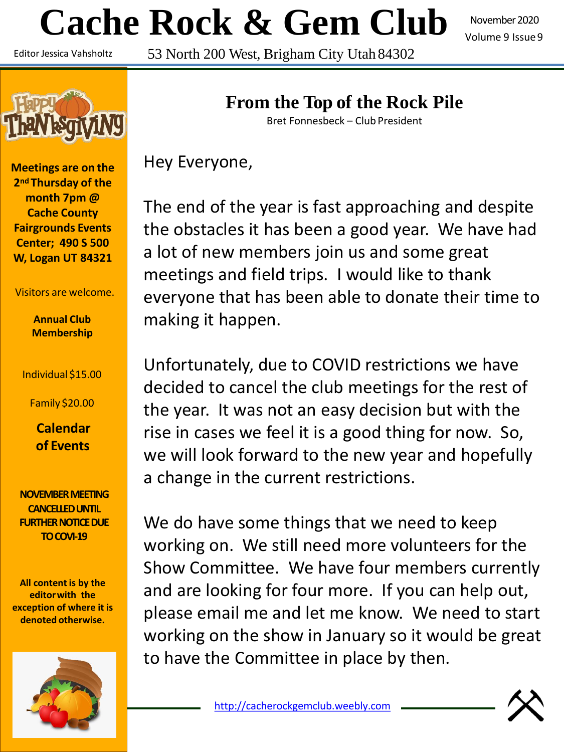# **Cache Rock & Gem Club**

November 2020 Volume 9 Issue9

Editor Jessica Vahsholtz

53 North 200 West, Brigham City Utah 84302



**Meetings are on the 2nd Thursday of the month 7pm @ Cache County Fairgrounds Events Center; 490 S 500 W, Logan UT 84321**

Visitors are welcome.

**Annual Club Membership**

Individual \$15.00

Family \$20.00

**Calendar of Events**

**NOVEMBER MEETING CANCELLED UNTIL FURTHER NOTICE DUE TO COVI-19**

**All content is by the editorwith the exception of where it is denoted otherwise.**



# **From the Top of the Rock Pile**

Bret Fonnesbeck – Club President

Hey Everyone,

The end of the year is fast approaching and despite the obstacles it has been a good year. We have had a lot of new members join us and some great meetings and field trips. I would like to thank everyone that has been able to donate their time to making it happen.

Unfortunately, due to COVID restrictions we have decided to cancel the club meetings for the rest of the year. It was not an easy decision but with the rise in cases we feel it is a good thing for now. So, we will look forward to the new year and hopefully a change in the current restrictions.

We do have some things that we need to keep working on. We still need more volunteers for the Show Committee. We have four members currently and are looking for four more. If you can help out, please email me and let me know. We need to start working on the show in January so it would be great to have the Committee in place by then.

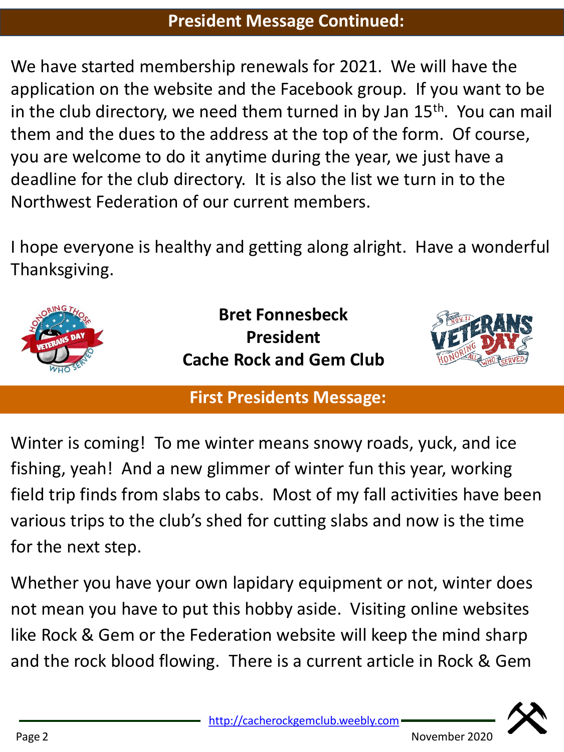## **President Message Continued:**

We have started membership renewals for 2021. We will have the application on the website and the Facebook group. If you want to be in the club directory, we need them turned in by Jan  $15<sup>th</sup>$ . You can mail them and the dues to the address at the top of the form. Of course, you are welcome to do it anytime during the year, we just have a deadline for the club directory. It is also the list we turn in to the Northwest Federation of our current members.

I hope everyone is healthy and getting along alright. Have a wonderful Thanksgiving.



# **First Presidents Message:**

Winter is coming! To me winter means snowy roads, yuck, and ice fishing, yeah! And a new glimmer of winter fun this year, working field trip finds from slabs to cabs. Most of my fall activities have been various trips to the club's shed for cutting slabs and now is the time for the next step.

Whether you have your own lapidary equipment or not, winter does not mean you have to put this hobby aside. Visiting online websites like Rock & Gem or the Federation website will keep the mind sharp and the rock blood flowing. There is a current article in Rock & Gem

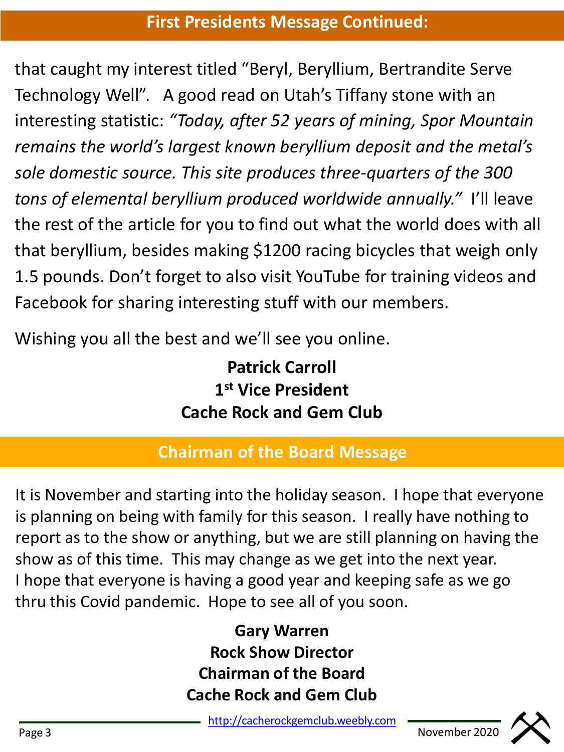that caught my interest titled "Beryl, Beryllium, Bertrandite Serve Technology Well". A good read on Utah's Tiffany stone with an interesting statistic: *"Today, after 52 years of mining, Spor Mountain remains the world's largest known beryllium deposit and the metal's sole domestic source. This site produces three-quarters of the 300 tons of elemental beryllium produced worldwide annually."* I'll leave the rest of the article for you to find out what the world does with all that beryllium, besides making \$1200 racing bicycles that weigh only 1.5 pounds. Don't forget to also visit YouTube for training videos and Facebook for sharing interesting stuff with our members.

Wishing you all the best and we'll see you online.

**Patrick Carroll 1 st Vice President Cache Rock and Gem Club**

# **Chairman of the Board Message**

It is November and starting into the holiday season. I hope that everyone is planning on being with family for this season. I really have nothing to report as to the show or anything, but we are still planning on having the show as of this time. This may change as we get into the next year. I hope that everyone is having a good year and keeping safe as we go thru this Covid pandemic. Hope to see all of you soon.

> **Gary Warren Rock Show Director Chairman of the Board Cache Rock and Gem Club**

[http://cacherockgemclub.weebly.com](http://cacherockgemclub.weebly.com/) <u>nttp://cacherockgemclub.weeply.com</u><br>Page 3 <u>nttp://cacherockgemclub.weeply.com</u> November 2020

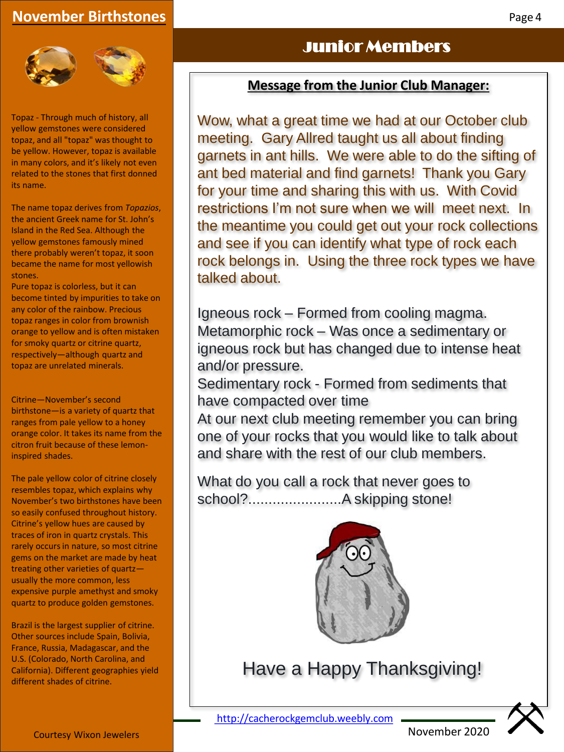## **November Birthstones**



Topaz - Through much of history, all yellow gemstones were considered topaz, and all "topaz" was thought to be yellow. However, topaz is available in many colors, and it's likely not even related to the stones that first donned its name.

The name topaz derives from *Topazios*, the ancient Greek name for St. John's Island in the Red Sea. Although the yellow gemstones famously mined there probably weren't topaz, it soon became the name for most yellowish stones.

Pure topaz is colorless, but it can become tinted by impurities to take on any color of the rainbow. Precious topaz ranges in color from brownish orange to yellow and is often mistaken for smoky quartz or citrine quartz, respectively—although quartz and topaz are unrelated minerals.

Citrine—November's second birthstone—is a variety of quartz that ranges from pale yellow to a honey orange color. It takes its name from the citron fruit because of these lemoninspired shades.

The pale yellow color of citrine closely resembles topaz, which explains why November's two birthstones have been so easily confused throughout history. Citrine's yellow hues are caused by traces of iron in quartz crystals. This rarely occurs in nature, so most citrine gems on the market are made by heat treating other varieties of quartz usually the more common, less expensive purple amethyst and smoky quartz to produce golden gemstones.

Brazil is the largest supplier of citrine. Other sources include Spain, Bolivia, France, Russia, Madagascar, and the U.S. (Colorado, North Carolina, and California). Different geographies yield different shades of citrine.

## Junior Members

## **Message from the Junior Club Manager:**

Wow, what a great time we had at our October club meeting. Gary Allred taught us all about finding garnets in ant hills. We were able to do the sifting of ant bed material and find garnets! Thank you Gary for your time and sharing this with us. With Covid restrictions I'm not sure when we will meet next. In the meantime you could get out your rock collections and see if you can identify what type of rock each rock belongs in. Using the three rock types we have talked about.

Igneous rock – Formed from cooling magma. Metamorphic rock – Was once a sedimentary or igneous rock but has changed due to intense heat and/or pressure.

Sedimentary rock - Formed from sediments that have compacted over time

At our next club meeting remember you can bring one of your rocks that you would like to talk about and share with the rest of our club members.

What do you call a rock that never goes to school?.......................A skipping stone!



Have a Happy Thanksgiving!

[http://cacherockgemclub.weebly.com](http://cacherockgemclub.weebly.com/)

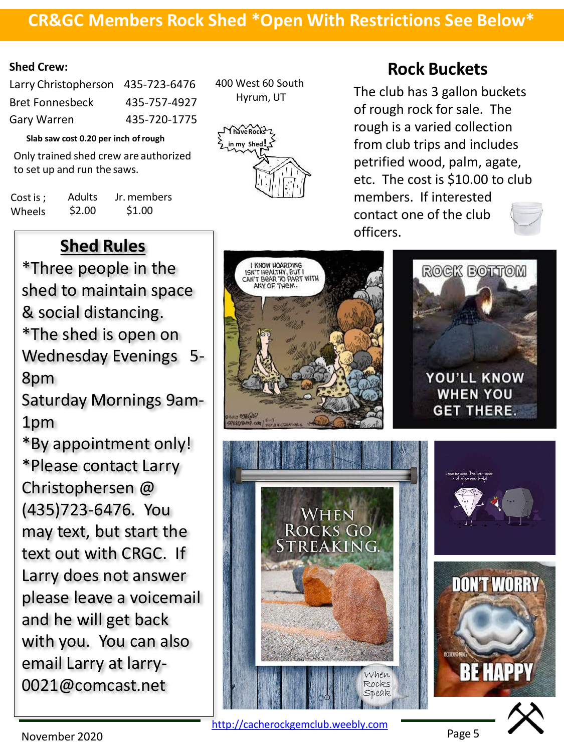## **CR&GC Members Rock Shed \*Open With Restrictions See Below\***

#### **Shed Crew:**

| Larry Christopherson 435-723-6476 |
|-----------------------------------|
| 435-757-4927                      |
| 435-720-1775                      |
|                                   |

**Slab saw cost 0.20 per inch ofrough**

Only trained shed crew are authorized to set up and run the saws.

Cost is ; Wheels Adults \$2.00 Jr. members \$1.00

400 West 60 South Hyrum, UT



## **Rock Buckets**

The club has 3 gallon buckets of rough rock for sale. The rough is a varied collection from club trips and includes petrified wood, palm, agate, etc. The cost is \$10.00 to club members. If interested contact one of the club officers.



[http://cacherockgemclub.weebly.com](http://cacherockgemclub.weebly.com/)

**Shed Rules**

\*Three people in the shed to maintain space & social distancing. \*The shed is open on Wednesday Evenings 5- 8pm

Saturday Mornings 9am-1pm

\*By appointment only! \*Please contact Larry Christophersen @ (435)723-6476. You may text, but start the text out with CRGC. If Larry does not answer please leave a voicemail and he will get back with you. You can also email Larry at larry-0021@comcast.net

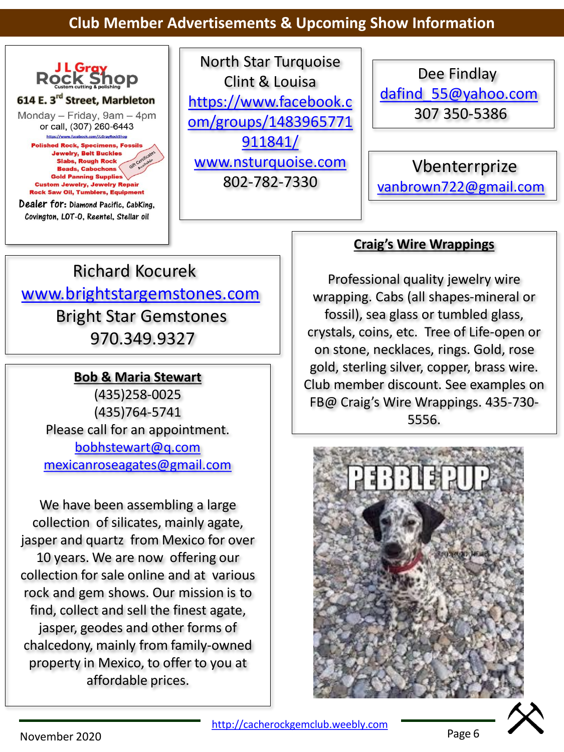## **Club Member Advertisements & Upcoming Show Information**



North Star Turquoise Clint & Louisa https://www.facebook.c [om/groups/1483965771](https://www.facebook.com/groups/1483965771911841/) 911841/ [www.nsturquoise.com](http://www.nsturquoise.com/) 802-782-7330

Dee Findlay [dafind\\_55@yahoo.com](mailto:dafind_55@yahoo.com) 307 350-5386

Vbenterrprize [vanbrown722@gmail.com](mailto:vanbrown722@gmail.com)

# Richard Kocurek [www.brightstargemstones.com](http://www.brightstargemstones.com/) Bright Star Gemstones 970.349.9327

## **Bob & Maria Stewart**

(435)258-0025 (435)764-5741 Please call for an appointment. [bobhstewart@q.com](mailto:bobhstewart@q.com) [mexicanroseagates@gmail.com](mailto:mexicanroseagates@gmail.com)

We have been assembling a large collection of silicates, mainly agate, jasper and quartz from Mexico for over 10 years. We are now offering our collection for sale online and at various rock and gem shows. Our mission is to find, collect and sell the finest agate, jasper, geodes and other forms of chalcedony, mainly from family-owned property in Mexico, to offer to you at affordable prices.

## **Craig's Wire Wrappings**

Professional quality jewelry wire wrapping. Cabs (all shapes-mineral or fossil), sea glass or tumbled glass, crystals, coins, etc. Tree of Life-open or on stone, necklaces, rings. Gold, rose gold, sterling silver, copper, brass wire. Club member discount. See examples on FB@ Craig's Wire Wrappings. 435-730- 5556.



[http://cacherockgemclub.weebly.com](http://cacherockgemclub.weebly.com/)